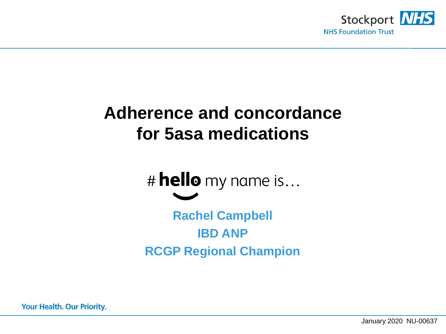

# **Adherence and concordance for 5asa medications**

# hello my name is... **Rachel Campbell IBD ANP RCGP Regional Champion**

**Your Health. Our Priority.**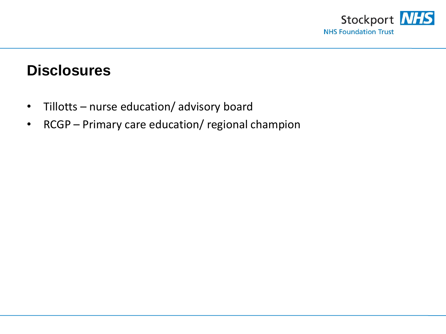

### **Disclosures**

- Tillotts nurse education/ advisory board
- RCGP Primary care education/ regional champion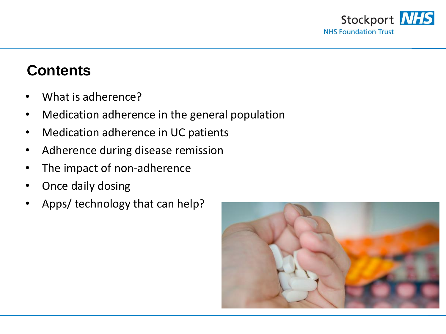

### **Contents**

- What is adherence?
- Medication adherence in the general population
- Medication adherence in UC patients
- Adherence during disease remission
- The impact of non-adherence
- Once daily dosing
- Apps/ technology that can help?

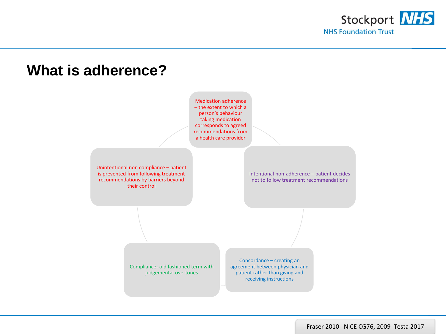



#### Fraser 2010 NICE CG76, 2009 Testa 2017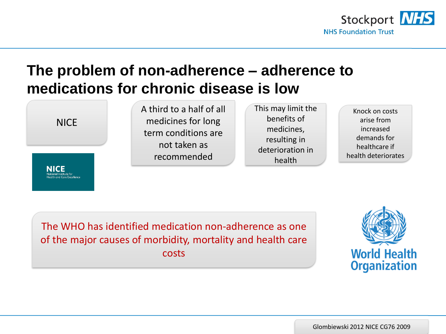

## **The problem of non-adherence – adherence to medications for chronic disease is low**

NICE

A third to a half of all medicines for long term conditions are not taken as recommended

This may limit the benefits of medicines, resulting in deterioration in health

Knock on costs arise from increased demands for healthcare if health deteriorates

The WHO has identified medication non-adherence as one of the major causes of morbidity, mortality and health care costs



Glombiewski 2012 NICE CG76 2009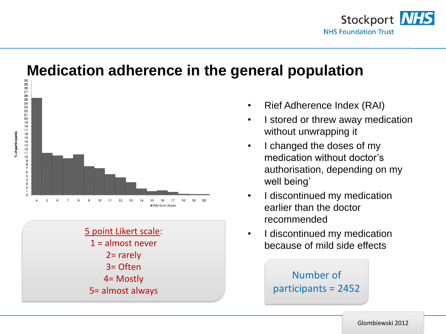

# **Medication adherence in the general population**





- Rief Adherence Index (RAI)
- I stored or threw away medication without unwrapping it
- I changed the doses of my medication without doctor's authorisation, depending on my well being'
- I discontinued my medication earlier than the doctor recommended
- I discontinued my medication because of mild side effects

Number of participants = 2452

Glombiewski 2012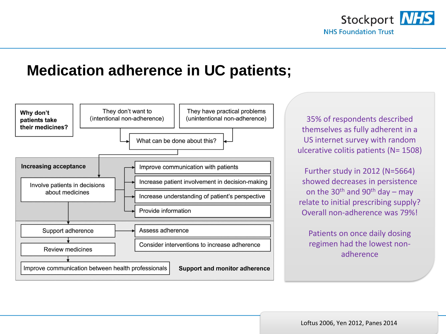

### **Medication adherence in UC patients;**



35% of respondents described themselves as fully adherent in a US internet survey with random ulcerative colitis patients (N= 1508)

Further study in 2012 (N=5664) showed decreases in persistence on the 30<sup>th</sup> and 90<sup>th</sup> day – may relate to initial prescribing supply? Overall non-adherence was 79%!

Patients on once daily dosing regimen had the lowest nonadherence

Loftus 2006, Yen 2012, Panes 2014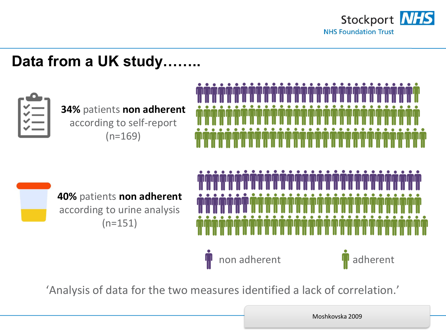

# **Data from a UK study……..**



**34%** patients **non adherent**  according to self-report  $(n=169)$ 





**40%** patients **non adherent**  according to urine analysis (n=151)

non adherent **adherent** 



'Analysis of data for the two measures identified a lack of correlation.'

Moshkovska 2009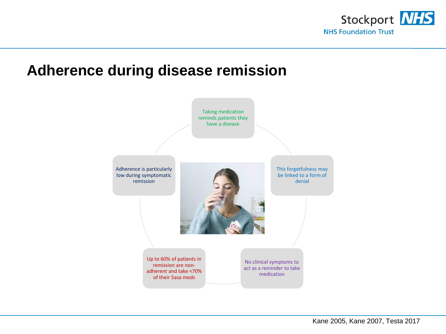

### **Adherence during disease remission**

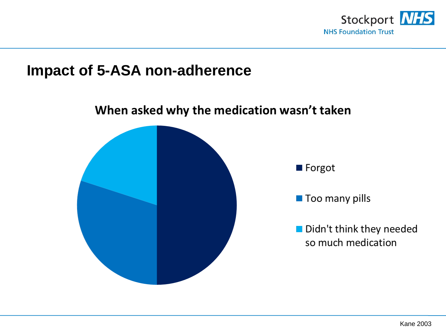

### **Impact of 5-ASA non-adherence**

# When asked why the medication wasn't taken **Forgot Too many pills** Didn't think they needed so much medication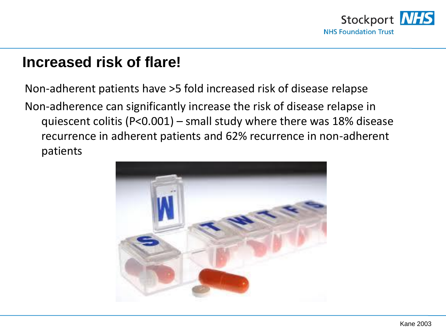

### **Increased risk of flare!**

Non-adherent patients have >5 fold increased risk of disease relapse Non-adherence can significantly increase the risk of disease relapse in quiescent colitis (P<0.001) – small study where there was 18% disease recurrence in adherent patients and 62% recurrence in non-adherent patients

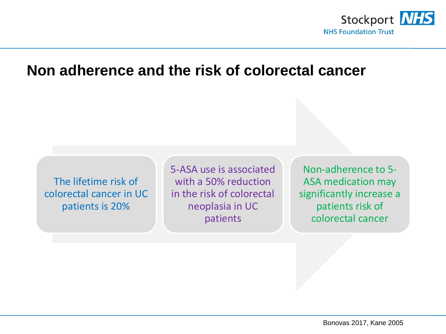

### **Non adherence and the risk of colorectal cancer**

The lifetime risk of colorectal cancer in UC patients is 20%

5-ASA use is associated with a 50% reduction in the risk of colorectal neoplasia in UC patients

Non-adherence to 5- ASA medication may significantly increase a patients risk of colorectal cancer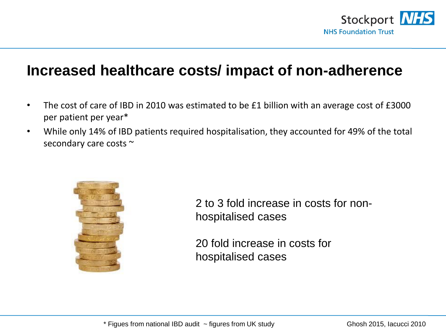

### **Increased healthcare costs/ impact of non-adherence**

- The cost of care of IBD in 2010 was estimated to be £1 billion with an average cost of £3000 per patient per year\*
- While only 14% of IBD patients required hospitalisation, they accounted for 49% of the total secondary care costs ~



2 to 3 fold increase in costs for nonhospitalised cases

20 fold increase in costs for hospitalised cases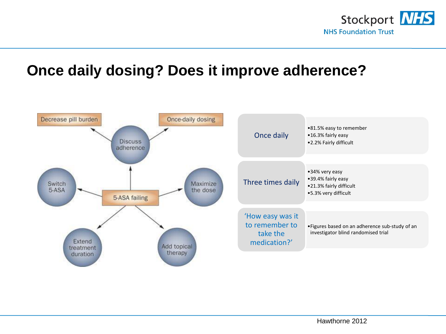

### **Once daily dosing? Does it improve adherence?**

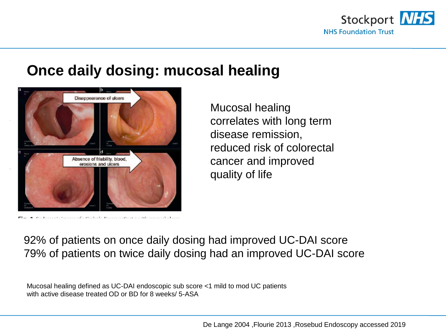

### **Once daily dosing: mucosal healing**



Mucosal healing correlates with long term disease remission, reduced risk of colorectal cancer and improved quality of life

92% of patients on once daily dosing had improved UC-DAI score 79% of patients on twice daily dosing had an improved UC-DAI score

Mucosal healing defined as UC-DAI endoscopic sub score <1 mild to mod UC patients with active disease treated OD or BD for 8 weeks/ 5-ASA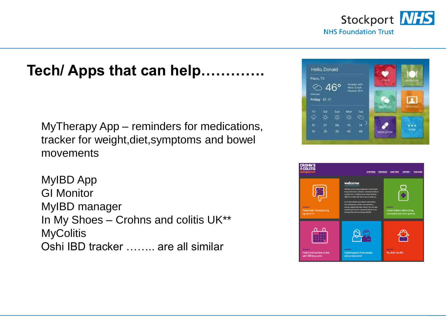

### **Tech/ Apps that can help...**

MyTherapy App – reminders for medications, tracker for weight,diet,symptoms and bowel movements

MyIBD App GI Monitor MyIBD manager In My Shoes – Crohns and colitis UK\*\* **MyColitis** Oshi IBD tracker …….. are all similar



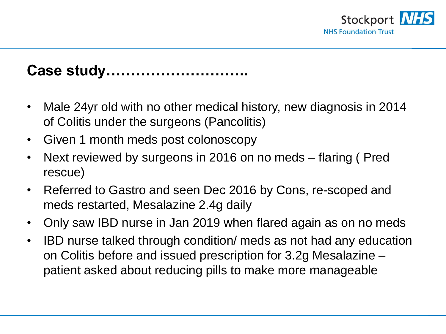

# **Case study………………………..**

- Male 24yr old with no other medical history, new diagnosis in 2014 of Colitis under the surgeons (Pancolitis)
- Given 1 month meds post colonoscopy
- Next reviewed by surgeons in 2016 on no meds flaring ( Pred rescue)
- Referred to Gastro and seen Dec 2016 by Cons, re-scoped and meds restarted, Mesalazine 2.4g daily
- Only saw IBD nurse in Jan 2019 when flared again as on no meds
- IBD nurse talked through condition/ meds as not had any education on Colitis before and issued prescription for 3.2g Mesalazine – patient asked about reducing pills to make more manageable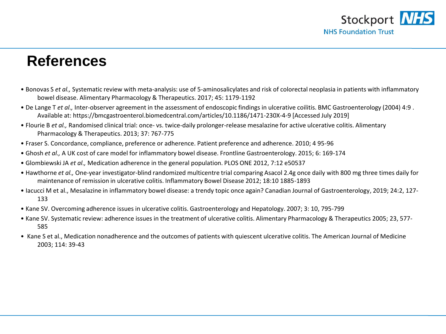

### **References**

- Bonovas S *et al.,* Systematic review with meta-analysis: use of 5-aminosalicylates and risk of colorectal neoplasia in patients with inflammatory bowel disease. Alimentary Pharmacology & Therapeutics. 2017; 45: 1179-1192
- De Lange T *et al.,* Inter-observer agreement in the assessment of endoscopic findings in ulcerative coilitis. BMC Gastroenterology (2004) 4:9 . Available at: https://bmcgastroenterol.biomedcentral.com/articles/10.1186/1471-230X-4-9 [Accessed July 2019]
- Flourie B *et al.,* Randomised clinical trial: once- vs. twice-daily prolonger-release mesalazine for active ulcerative colitis. Alimentary Pharmacology & Therapeutics. 2013; 37: 767-775
- Fraser S. Concordance, compliance, preference or adherence. Patient preference and adherence. 2010; 4 95-96
- Ghosh *et al.,* A UK cost of care model for inflammatory bowel disease. Frontline Gastroenterology. 2015; 6: 169-174
- Glombiewski JA *et al.,* Medication adherence in the general population. PLOS ONE 2012, 7:12 e50537
- Hawthorne *et al.,* One-year investigator-blind randomized multicentre trial comparing Asacol 2.4g once daily with 800 mg three times daily for maintenance of remission in ulcerative colitis. Inflammatory Bowel Disease 2012; 18:10 1885-1893
- Iacucci M et al., Mesalazine in inflammatory bowel disease: a trendy topic once again? Canadian Journal of Gastroenterology, 2019; 24:2, 127- 133
- Kane SV. Overcoming adherence issues in ulcerative colitis. Gastroenterology and Hepatology. 2007; 3: 10, 795-799
- Kane SV. Systematic review: adherence issues in the treatment of ulcerative colitis. Alimentary Pharmacology & Therapeutics 2005; 23, 577- 585
- Kane S et al., Medication nonadherence and the outcomes of patients with quiescent ulcerative colitis. The American Journal of Medicine 2003; 114: 39-43